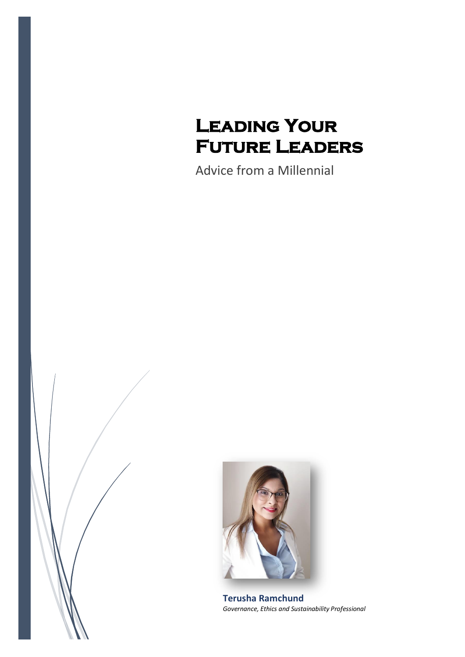# **Leading Your Future Leaders**

Advice from a Millennial





**Terusha Ramchund** *Governance, Ethics and Sustainability Professional*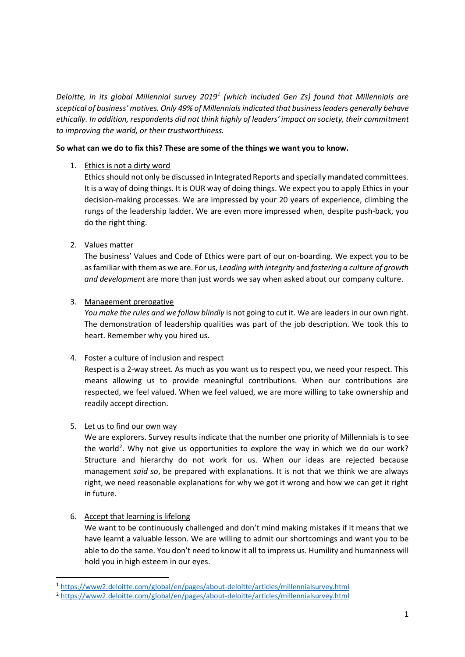*Deloitte, in its global Millennial survey 2019<sup>1</sup> (which included Gen Zs) found that Millennials are sceptical of business' motives. Only 49% of Millennials indicated that business leaders generally behave ethically. In addition, respondents did not think highly of leaders' impact on society, their commitment to improving the world, or their trustworthiness.*

## **So what can we do to fix this? These are some of the things we want you to know.**

#### 1. Ethics is not a dirty word

Ethics should not only be discussed in Integrated Reports and specially mandated committees. It is a way of doing things. It is OUR way of doing things. We expect you to apply Ethics in your decision-making processes. We are impressed by your 20 years of experience, climbing the rungs of the leadership ladder. We are even more impressed when, despite push-back, you do the right thing.

## 2. Values matter

The business' Values and Code of Ethics were part of our on-boarding. We expect you to be as familiar with them as we are. For us, *Leading with integrity* and *fostering a culture of growth and development* are more than just words we say when asked about our company culture.

#### 3. Management prerogative

*You make the rules and we follow blindly* is not going to cut it. We are leaders in our own right. The demonstration of leadership qualities was part of the job description. We took this to heart. Remember why you hired us.

## 4. Foster a culture of inclusion and respect

Respect is a 2-way street. As much as you want us to respect you, we need your respect. This means allowing us to provide meaningful contributions. When our contributions are respected, we feel valued. When we feel valued, we are more willing to take ownership and readily accept direction.

## 5. Let us to find our own way

We are explorers. Survey results indicate that the number one priority of Millennials is to see the world<sup>2</sup>. Why not give us opportunities to explore the way in which we do our work? Structure and hierarchy do not work for us. When our ideas are rejected because management *said so*, be prepared with explanations. It is not that we think we are always right, we need reasonable explanations for why we got it wrong and how we can get it right in future.

## 6. Accept that learning is lifelong

1

We want to be continuously challenged and don't mind making mistakes if it means that we have learnt a valuable lesson. We are willing to admit our shortcomings and want you to be able to do the same. You don't need to know it all to impress us. Humility and humanness will hold you in high esteem in our eyes.

<sup>1</sup> <https://www2.deloitte.com/global/en/pages/about-deloitte/articles/millennialsurvey.html>

<sup>2</sup> <https://www2.deloitte.com/global/en/pages/about-deloitte/articles/millennialsurvey.html>